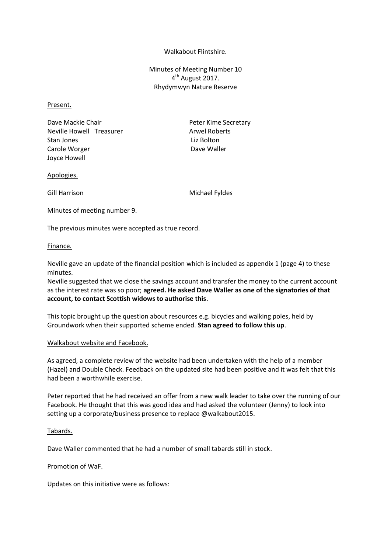#### Walkabout Flintshire.

Minutes of Meeting Number 10 4<sup>th</sup> August 2017. Rhydymwyn Nature Reserve

#### Present.

Dave Mackie Chair **Peter Kime Secretary** Neville Howell Treasurer Arwel Roberts Stan Jones **Liz Bolton** Carole Worger **Dave Waller** Dave Waller Joyce Howell

#### Apologies.

Gill Harrison Michael Fyldes

#### Minutes of meeting number 9.

The previous minutes were accepted as true record.

#### Finance.

Neville gave an update of the financial position which is included as appendix 1 (page 4) to these minutes.

Neville suggested that we close the savings account and transfer the money to the current account as the interest rate was so poor; **agreed. He asked Dave Waller as one of the signatories of that account, to contact Scottish widows to authorise this**.

This topic brought up the question about resources e.g. bicycles and walking poles, held by Groundwork when their supported scheme ended. **Stan agreed to follow this up**.

#### Walkabout website and Facebook.

As agreed, a complete review of the website had been undertaken with the help of a member (Hazel) and Double Check. Feedback on the updated site had been positive and it was felt that this had been a worthwhile exercise.

Peter reported that he had received an offer from a new walk leader to take over the running of our Facebook. He thought that this was good idea and had asked the volunteer (Jenny) to look into setting up a corporate/business presence to replace @walkabout2015.

### Tabards.

Dave Waller commented that he had a number of small tabards still in stock.

### Promotion of WaF.

Updates on this initiative were as follows: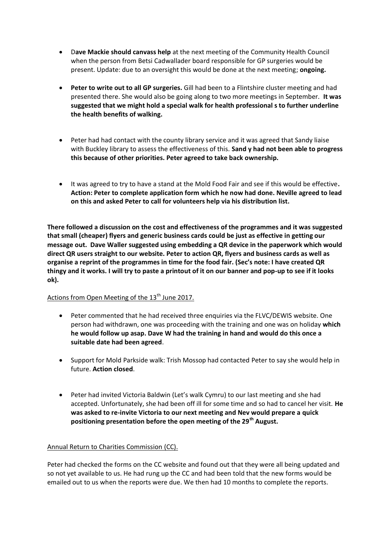- D**ave Mackie should canvass help** at the next meeting of the Community Health Council when the person from Betsi Cadwallader board responsible for GP surgeries would be present. Update: due to an oversight this would be done at the next meeting; **ongoing.**
- **Peter to write out to all GP surgeries.** Gill had been to a Flintshire cluster meeting and had presented there. She would also be going along to two more meetings in September. **It was suggested that we might hold a special walk for health professional s to further underline the health benefits of walking.**
- Peter had had contact with the county library service and it was agreed that Sandy liaise with Buckley library to assess the effectiveness of this. **Sand y had not been able to progress this because of other priorities. Peter agreed to take back ownership.**
- It was agreed to try to have a stand at the Mold Food Fair and see if this would be effective**. Action: Peter to complete application form which he now had done. Neville agreed to lead on this and asked Peter to call for volunteers help via his distribution list.**

**There followed a discussion on the cost and effectiveness of the programmes and it was suggested that small (cheaper) flyers and generic business cards could be just as effective in getting our message out. Dave Waller suggested using embedding a QR device in the paperwork which would direct QR users straight to our website. Peter to action QR, flyers and business cards as well as organise a reprint of the programmes in time for the food fair. (Sec's note: I have created QR thingy and it works. I will try to paste a printout of it on our banner and pop-up to see if it looks ok).** 

## Actions from Open Meeting of the 13<sup>th</sup> June 2017.

- Peter commented that he had received three enquiries via the FLVC/DEWIS website. One person had withdrawn, one was proceeding with the training and one was on holiday **which he would follow up asap. Dave W had the training in hand and would do this once a suitable date had been agreed**.
- Support for Mold Parkside walk: Trish Mossop had contacted Peter to say she would help in future. **Action closed**.
- Peter had invited Victoria Baldwin (Let's walk Cymru) to our last meeting and she had accepted. Unfortunately, she had been off ill for some time and so had to cancel her visit. **He was asked to re-invite Victoria to our next meeting and Nev would prepare a quick positioning presentation before the open meeting of the 29th August.**

## Annual Return to Charities Commission (CC).

Peter had checked the forms on the CC website and found out that they were all being updated and so not yet available to us. He had rung up the CC and had been told that the new forms would be emailed out to us when the reports were due. We then had 10 months to complete the reports.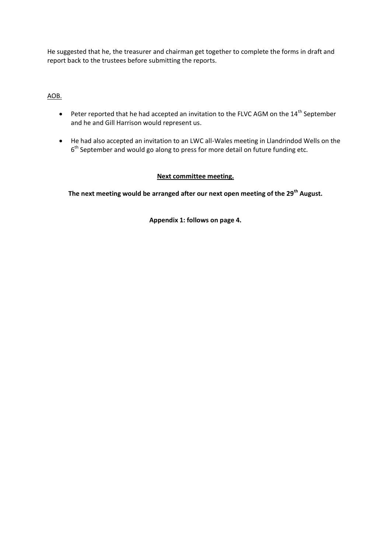He suggested that he, the treasurer and chairman get together to complete the forms in draft and report back to the trustees before submitting the reports.

## AOB.

- $\bullet$  Peter reported that he had accepted an invitation to the FLVC AGM on the 14<sup>th</sup> September and he and Gill Harrison would represent us.
- He had also accepted an invitation to an LWC all-Wales meeting in Llandrindod Wells on the 6<sup>th</sup> September and would go along to press for more detail on future funding etc.

## **Next committee meeting.**

**The next meeting would be arranged after our next open meeting of the 29th August.**

**Appendix 1: follows on page 4.**